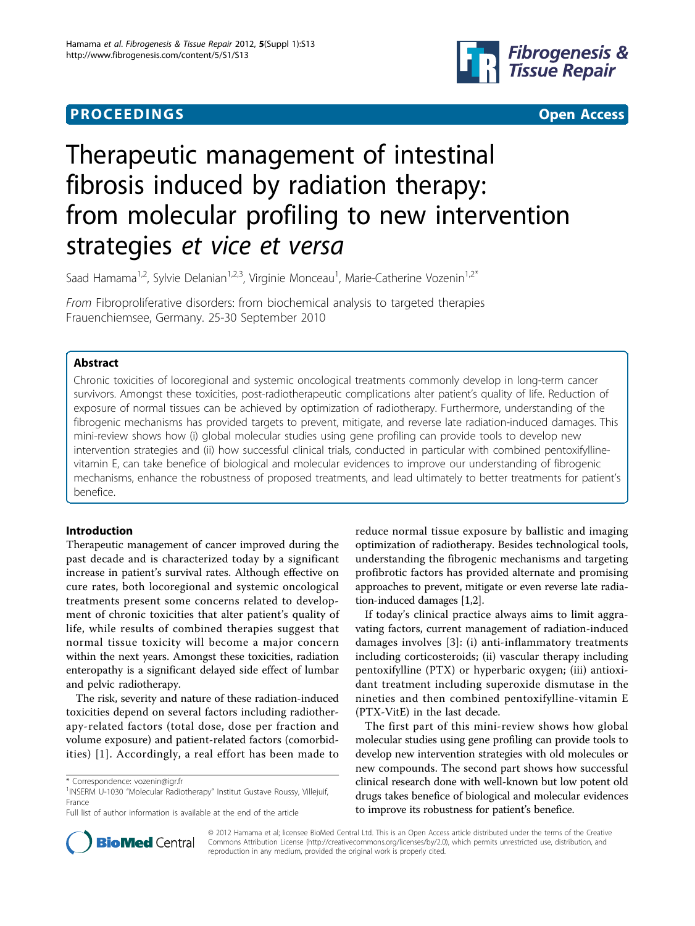# **PROCEEDINGS CONSUMING S** Open Access **CONSUMING S**



# Therapeutic management of intestinal fibrosis induced by radiation therapy: from molecular profiling to new intervention strategies et vice et versa

Saad Hamama<sup>1,2</sup>, Sylvie Delanian<sup>1,2,3</sup>, Virginie Monceau<sup>1</sup>, Marie-Catherine Vozenin<sup>1,2\*</sup>

From Fibroproliferative disorders: from biochemical analysis to targeted therapies Frauenchiemsee, Germany. 25-30 September 2010

# Abstract

Chronic toxicities of locoregional and systemic oncological treatments commonly develop in long-term cancer survivors. Amongst these toxicities, post-radiotherapeutic complications alter patient's quality of life. Reduction of exposure of normal tissues can be achieved by optimization of radiotherapy. Furthermore, understanding of the fibrogenic mechanisms has provided targets to prevent, mitigate, and reverse late radiation-induced damages. This mini-review shows how (i) global molecular studies using gene profiling can provide tools to develop new intervention strategies and (ii) how successful clinical trials, conducted in particular with combined pentoxifyllinevitamin E, can take benefice of biological and molecular evidences to improve our understanding of fibrogenic mechanisms, enhance the robustness of proposed treatments, and lead ultimately to better treatments for patient's benefice.

# Introduction

Therapeutic management of cancer improved during the past decade and is characterized today by a significant increase in patient's survival rates. Although effective on cure rates, both locoregional and systemic oncological treatments present some concerns related to development of chronic toxicities that alter patient's quality of life, while results of combined therapies suggest that normal tissue toxicity will become a major concern within the next years. Amongst these toxicities, radiation enteropathy is a significant delayed side effect of lumbar and pelvic radiotherapy.

The risk, severity and nature of these radiation-induced toxicities depend on several factors including radiotherapy-related factors (total dose, dose per fraction and volume exposure) and patient-related factors (comorbidities) [[1](#page-4-0)]. Accordingly, a real effort has been made to

reduce normal tissue exposure by ballistic and imaging optimization of radiotherapy. Besides technological tools, understanding the fibrogenic mechanisms and targeting profibrotic factors has provided alternate and promising approaches to prevent, mitigate or even reverse late radiation-induced damages [\[1,2\]](#page-4-0).

If today's clinical practice always aims to limit aggravating factors, current management of radiation-induced damages involves [[3\]](#page-4-0): (i) anti-inflammatory treatments including corticosteroids; (ii) vascular therapy including pentoxifylline (PTX) or hyperbaric oxygen; (iii) antioxidant treatment including superoxide dismutase in the nineties and then combined pentoxifylline-vitamin E (PTX-VitE) in the last decade.

The first part of this mini-review shows how global molecular studies using gene profiling can provide tools to develop new intervention strategies with old molecules or new compounds. The second part shows how successful clinical research done with well-known but low potent old drugs takes benefice of biological and molecular evidences to improve its robustness for patient's benefice.



© 2012 Hamama et al; licensee BioMed Central Ltd. This is an Open Access article distributed under the terms of the Creative Commons Attribution License [\(http://creativecommons.org/licenses/by/2.0](http://creativecommons.org/licenses/by/2.0)), which permits unrestricted use, distribution, and reproduction in any medium, provided the original work is properly cited.

<sup>\*</sup> Correspondence: [vozenin@igr.fr](mailto:vozenin@igr.fr)

<sup>&</sup>lt;sup>1</sup>INSERM U-1030 "Molecular Radiotherapy" Institut Gustave Roussy, Villejuif, France

Full list of author information is available at the end of the article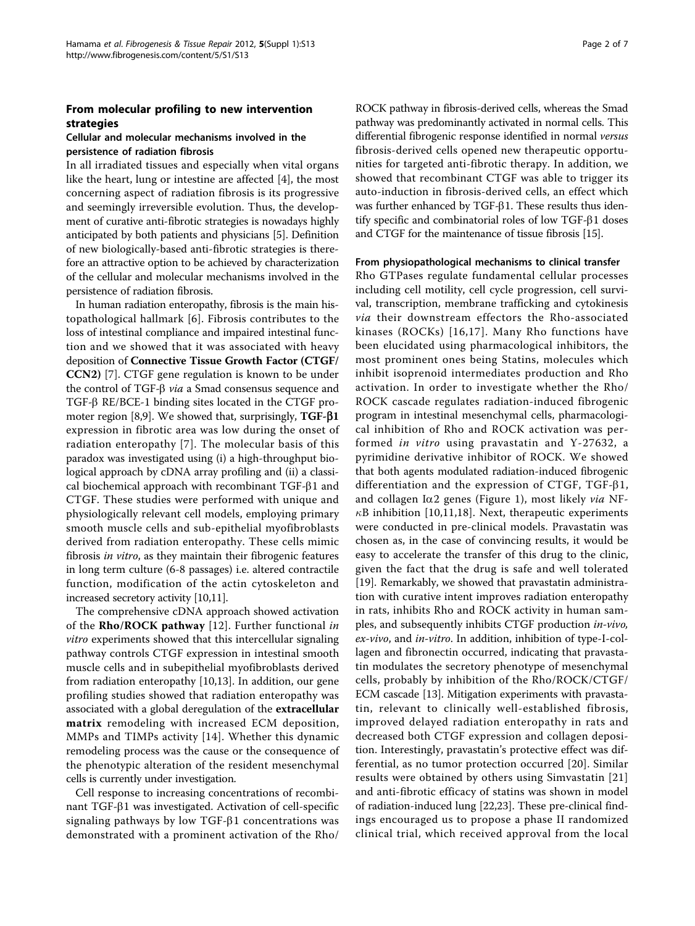### From molecular profiling to new intervention strategies

#### Cellular and molecular mechanisms involved in the persistence of radiation fibrosis

In all irradiated tissues and especially when vital organs like the heart, lung or intestine are affected [[4\]](#page-4-0), the most concerning aspect of radiation fibrosis is its progressive and seemingly irreversible evolution. Thus, the development of curative anti-fibrotic strategies is nowadays highly anticipated by both patients and physicians [[5\]](#page-4-0). Definition of new biologically-based anti-fibrotic strategies is therefore an attractive option to be achieved by characterization of the cellular and molecular mechanisms involved in the persistence of radiation fibrosis.

In human radiation enteropathy, fibrosis is the main histopathological hallmark [[6](#page-4-0)]. Fibrosis contributes to the loss of intestinal compliance and impaired intestinal function and we showed that it was associated with heavy deposition of Connective Tissue Growth Factor (CTGF/ CCN2) [[7\]](#page-4-0). CTGF gene regulation is known to be under the control of TGF- $\beta$  via a Smad consensus sequence and  $TGF-B RE/BCE-1$  binding sites located in the CTGF pro-moter region [\[8,9\]](#page-5-0). We showed that, surprisingly,  $TGF- $\beta$ 1$ expression in fibrotic area was low during the onset of radiation enteropathy [[7\]](#page-4-0). The molecular basis of this paradox was investigated using (i) a high-throughput biological approach by cDNA array profiling and (ii) a classical biochemical approach with recombinant TGF- $\beta$ 1 and CTGF. These studies were performed with unique and physiologically relevant cell models, employing primary smooth muscle cells and sub-epithelial myofibroblasts derived from radiation enteropathy. These cells mimic fibrosis in vitro, as they maintain their fibrogenic features in long term culture (6-8 passages) i.e. altered contractile function, modification of the actin cytoskeleton and increased secretory activity [\[10,11](#page-5-0)].

The comprehensive cDNA approach showed activation of the  $Rho/ROCK$  pathway [[12](#page-5-0)]. Further functional in vitro experiments showed that this intercellular signaling pathway controls CTGF expression in intestinal smooth muscle cells and in subepithelial myofibroblasts derived from radiation enteropathy [[10,13\]](#page-5-0). In addition, our gene profiling studies showed that radiation enteropathy was associated with a global deregulation of the extracellular matrix remodeling with increased ECM deposition, MMPs and TIMPs activity [\[14\]](#page-5-0). Whether this dynamic remodeling process was the cause or the consequence of the phenotypic alteration of the resident mesenchymal cells is currently under investigation.

Cell response to increasing concentrations of recombinant TGF- $\beta$ 1 was investigated. Activation of cell-specific signaling pathways by low TGF- $\beta$ 1 concentrations was demonstrated with a prominent activation of the Rho/ ROCK pathway in fibrosis-derived cells, whereas the Smad pathway was predominantly activated in normal cells. This differential fibrogenic response identified in normal versus fibrosis-derived cells opened new therapeutic opportunities for targeted anti-fibrotic therapy. In addition, we showed that recombinant CTGF was able to trigger its auto-induction in fibrosis-derived cells, an effect which was further enhanced by TGF- $\beta$ 1. These results thus identify specific and combinatorial roles of low TGF- $\beta$ 1 doses and CTGF for the maintenance of tissue fibrosis [\[15](#page-5-0)].

#### From physiopathological mechanisms to clinical transfer

Rho GTPases regulate fundamental cellular processes including cell motility, cell cycle progression, cell survival, transcription, membrane trafficking and cytokinesis via their downstream effectors the Rho-associated kinases (ROCKs) [[16](#page-5-0),[17](#page-5-0)]. Many Rho functions have been elucidated using pharmacological inhibitors, the most prominent ones being Statins, molecules which inhibit isoprenoid intermediates production and Rho activation. In order to investigate whether the Rho/ ROCK cascade regulates radiation-induced fibrogenic program in intestinal mesenchymal cells, pharmacological inhibition of Rho and ROCK activation was performed in vitro using pravastatin and Y-27632, a pyrimidine derivative inhibitor of ROCK. We showed that both agents modulated radiation-induced fibrogenic differentiation and the expression of CTGF, TGF- $\beta$ 1, and collagen I $\alpha$ 2 genes (Figure [1](#page-2-0)), most likely via NF- $\kappa$ B inhibition [\[10](#page-5-0),[11,18\]](#page-5-0). Next, therapeutic experiments were conducted in pre-clinical models. Pravastatin was chosen as, in the case of convincing results, it would be easy to accelerate the transfer of this drug to the clinic, given the fact that the drug is safe and well tolerated [[19\]](#page-5-0). Remarkably, we showed that pravastatin administration with curative intent improves radiation enteropathy in rats, inhibits Rho and ROCK activity in human samples, and subsequently inhibits CTGF production in-vivo, ex-vivo, and in-vitro. In addition, inhibition of type-I-collagen and fibronectin occurred, indicating that pravastatin modulates the secretory phenotype of mesenchymal cells, probably by inhibition of the Rho/ROCK/CTGF/ ECM cascade [\[13](#page-5-0)]. Mitigation experiments with pravastatin, relevant to clinically well-established fibrosis, improved delayed radiation enteropathy in rats and decreased both CTGF expression and collagen deposition. Interestingly, pravastatin's protective effect was differential, as no tumor protection occurred [[20](#page-5-0)]. Similar results were obtained by others using Simvastatin [[21](#page-5-0)] and anti-fibrotic efficacy of statins was shown in model of radiation-induced lung [\[22,23\]](#page-5-0). These pre-clinical findings encouraged us to propose a phase II randomized clinical trial, which received approval from the local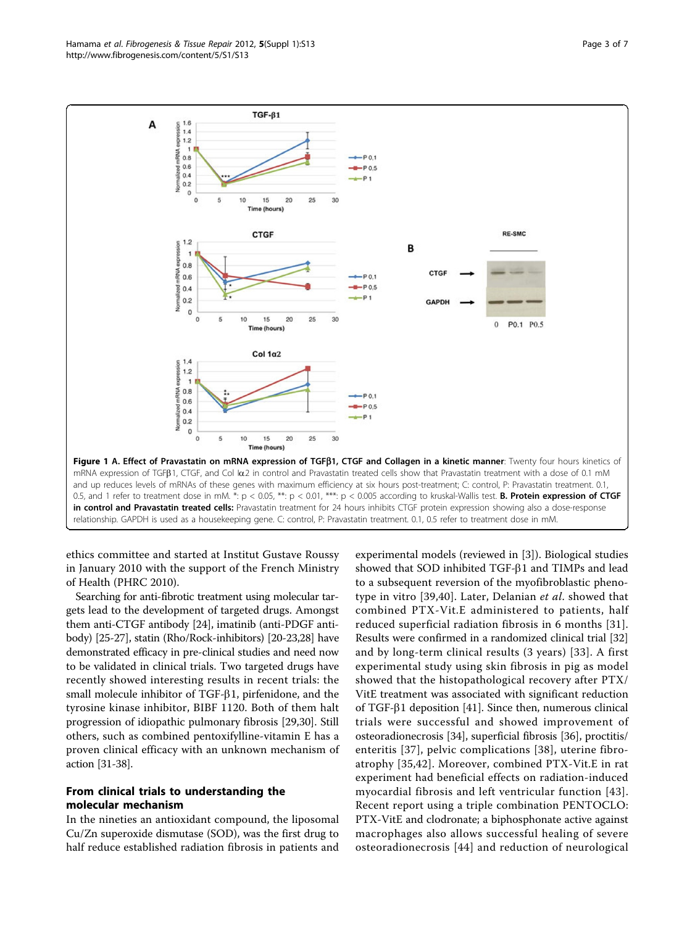<span id="page-2-0"></span>

ethics committee and started at Institut Gustave Roussy in January 2010 with the support of the French Ministry of Health (PHRC 2010).

Searching for anti-fibrotic treatment using molecular targets lead to the development of targeted drugs. Amongst them anti-CTGF antibody [\[24\]](#page-5-0), imatinib (anti-PDGF antibody) [[25](#page-5-0)-[27](#page-5-0)], statin (Rho/Rock-inhibitors) [\[20-23,28\]](#page-5-0) have demonstrated efficacy in pre-clinical studies and need now to be validated in clinical trials. Two targeted drugs have recently showed interesting results in recent trials: the small molecule inhibitor of TGF- $\beta$ 1, pirfenidone, and the tyrosine kinase inhibitor, BIBF 1120. Both of them halt progression of idiopathic pulmonary fibrosis [[29](#page-5-0),[30](#page-5-0)]. Still others, such as combined pentoxifylline-vitamin E has a proven clinical efficacy with an unknown mechanism of action [\[31-38\]](#page-5-0).

## From clinical trials to understanding the molecular mechanism

In the nineties an antioxidant compound, the liposomal Cu/Zn superoxide dismutase (SOD), was the first drug to half reduce established radiation fibrosis in patients and

experimental models (reviewed in [\[3](#page-4-0)]). Biological studies showed that SOD inhibited TGF- $\beta$ 1 and TIMPs and lead to a subsequent reversion of the myofibroblastic phenotype in vitro [\[39](#page-5-0),[40](#page-5-0)]. Later, Delanian et al. showed that combined PTX-Vit.E administered to patients, half reduced superficial radiation fibrosis in 6 months [[31\]](#page-5-0). Results were confirmed in a randomized clinical trial [[32](#page-5-0)] and by long-term clinical results (3 years) [[33](#page-5-0)]. A first experimental study using skin fibrosis in pig as model showed that the histopathological recovery after PTX/ VitE treatment was associated with significant reduction of TGF- $\beta$ 1 deposition [[41\]](#page-5-0). Since then, numerous clinical trials were successful and showed improvement of osteoradionecrosis [\[34\]](#page-5-0), superficial fibrosis [[36](#page-5-0)], proctitis/ enteritis [[37](#page-5-0)], pelvic complications [[38\]](#page-5-0), uterine fibroatrophy [[35](#page-5-0),[42\]](#page-5-0). Moreover, combined PTX-Vit.E in rat experiment had beneficial effects on radiation-induced myocardial fibrosis and left ventricular function [\[43\]](#page-5-0). Recent report using a triple combination PENTOCLO: PTX-VitE and clodronate; a biphosphonate active against macrophages also allows successful healing of severe osteoradionecrosis [\[44\]](#page-5-0) and reduction of neurological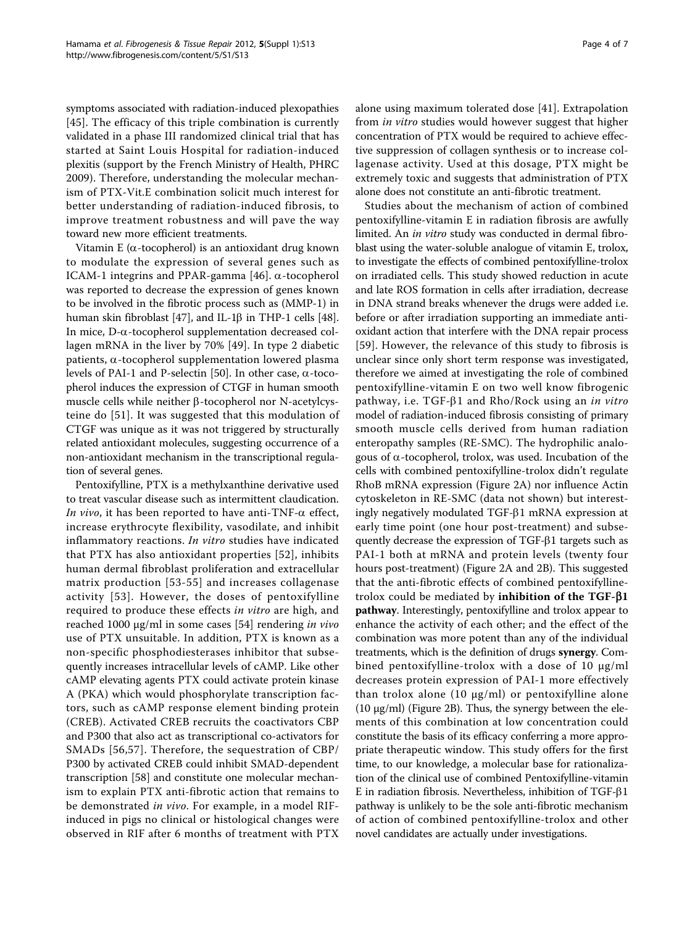symptoms associated with radiation-induced plexopathies [[45](#page-5-0)]. The efficacy of this triple combination is currently validated in a phase III randomized clinical trial that has started at Saint Louis Hospital for radiation-induced plexitis (support by the French Ministry of Health, PHRC 2009). Therefore, understanding the molecular mechanism of PTX-Vit.E combination solicit much interest for better understanding of radiation-induced fibrosis, to improve treatment robustness and will pave the way toward new more efficient treatments.

Vitamin E ( $\alpha$ -tocopherol) is an antioxidant drug known to modulate the expression of several genes such as ICAM-1 integrins and PPAR-gamma [\[46](#page-6-0)].  $\alpha$ -tocopherol was reported to decrease the expression of genes known to be involved in the fibrotic process such as (MMP-1) in human skin fibroblast [[47](#page-6-0)], and IL-1ß in THP-1 cells [[48](#page-6-0)]. In mice,  $D$ - $\alpha$ -tocopherol supplementation decreased collagen mRNA in the liver by 70% [[49\]](#page-6-0). In type 2 diabetic patients,  $\alpha$ -tocopherol supplementation lowered plasma levels of PAI-1 and P-selectin [\[50](#page-6-0)]. In other case,  $\alpha$ -tocopherol induces the expression of CTGF in human smooth muscle cells while neither  $\beta$ -tocopherol nor N-acetylcysteine do [[51\]](#page-6-0). It was suggested that this modulation of CTGF was unique as it was not triggered by structurally related antioxidant molecules, suggesting occurrence of a non-antioxidant mechanism in the transcriptional regulation of several genes.

Pentoxifylline, PTX is a methylxanthine derivative used to treat vascular disease such as intermittent claudication. In vivo, it has been reported to have anti-TNF- $\alpha$  effect, increase erythrocyte flexibility, vasodilate, and inhibit inflammatory reactions. In vitro studies have indicated that PTX has also antioxidant properties [[52](#page-6-0)], inhibits human dermal fibroblast proliferation and extracellular matrix production [[53-55](#page-6-0)] and increases collagenase activity [[53\]](#page-6-0). However, the doses of pentoxifylline required to produce these effects in vitro are high, and reached 1000 μg/ml in some cases [\[54](#page-6-0)] rendering in vivo use of PTX unsuitable. In addition, PTX is known as a non-specific phosphodiesterases inhibitor that subsequently increases intracellular levels of cAMP. Like other cAMP elevating agents PTX could activate protein kinase A (PKA) which would phosphorylate transcription factors, such as cAMP response element binding protein (CREB). Activated CREB recruits the coactivators CBP and P300 that also act as transcriptional co-activators for SMADs [[56](#page-6-0),[57](#page-6-0)]. Therefore, the sequestration of CBP/ P300 by activated CREB could inhibit SMAD-dependent transcription [[58\]](#page-6-0) and constitute one molecular mechanism to explain PTX anti-fibrotic action that remains to be demonstrated in vivo. For example, in a model RIFinduced in pigs no clinical or histological changes were observed in RIF after 6 months of treatment with PTX alone using maximum tolerated dose [\[41](#page-5-0)]. Extrapolation from in vitro studies would however suggest that higher concentration of PTX would be required to achieve effective suppression of collagen synthesis or to increase collagenase activity. Used at this dosage, PTX might be extremely toxic and suggests that administration of PTX alone does not constitute an anti-fibrotic treatment.

Studies about the mechanism of action of combined pentoxifylline-vitamin E in radiation fibrosis are awfully limited. An in vitro study was conducted in dermal fibroblast using the water-soluble analogue of vitamin E, trolox, to investigate the effects of combined pentoxifylline-trolox on irradiated cells. This study showed reduction in acute and late ROS formation in cells after irradiation, decrease in DNA strand breaks whenever the drugs were added i.e. before or after irradiation supporting an immediate antioxidant action that interfere with the DNA repair process [[59](#page-6-0)]. However, the relevance of this study to fibrosis is unclear since only short term response was investigated, therefore we aimed at investigating the role of combined pentoxifylline-vitamin E on two well know fibrogenic pathway, i.e. TGF- $\beta$ 1 and Rho/Rock using an in vitro model of radiation-induced fibrosis consisting of primary smooth muscle cells derived from human radiation enteropathy samples (RE-SMC). The hydrophilic analogous of  $\alpha$ -tocopherol, trolox, was used. Incubation of the cells with combined pentoxifylline-trolox didn't regulate RhoB mRNA expression (Figure [2A](#page-4-0)) nor influence Actin cytoskeleton in RE-SMC (data not shown) but interestingly negatively modulated TGF- $\beta$ 1 mRNA expression at early time point (one hour post-treatment) and subsequently decrease the expression of TGF- $\beta$ 1 targets such as PAI-1 both at mRNA and protein levels (twenty four hours post-treatment) (Figure [2A](#page-4-0) and [2B\)](#page-4-0). This suggested that the anti-fibrotic effects of combined pentoxifyllinetrolox could be mediated by inhibition of the TGF- $\beta$ 1 pathway. Interestingly, pentoxifylline and trolox appear to enhance the activity of each other; and the effect of the combination was more potent than any of the individual treatments, which is the definition of drugs synergy. Combined pentoxifylline-trolox with a dose of 10 μg/ml decreases protein expression of PAI-1 more effectively than trolox alone  $(10 \mu g/ml)$  or pentoxifylline alone (10 μg/ml) (Figure [2B](#page-4-0)). Thus, the synergy between the elements of this combination at low concentration could constitute the basis of its efficacy conferring a more appropriate therapeutic window. This study offers for the first time, to our knowledge, a molecular base for rationalization of the clinical use of combined Pentoxifylline-vitamin E in radiation fibrosis. Nevertheless, inhibition of TGF- $\beta$ 1 pathway is unlikely to be the sole anti-fibrotic mechanism of action of combined pentoxifylline-trolox and other novel candidates are actually under investigations.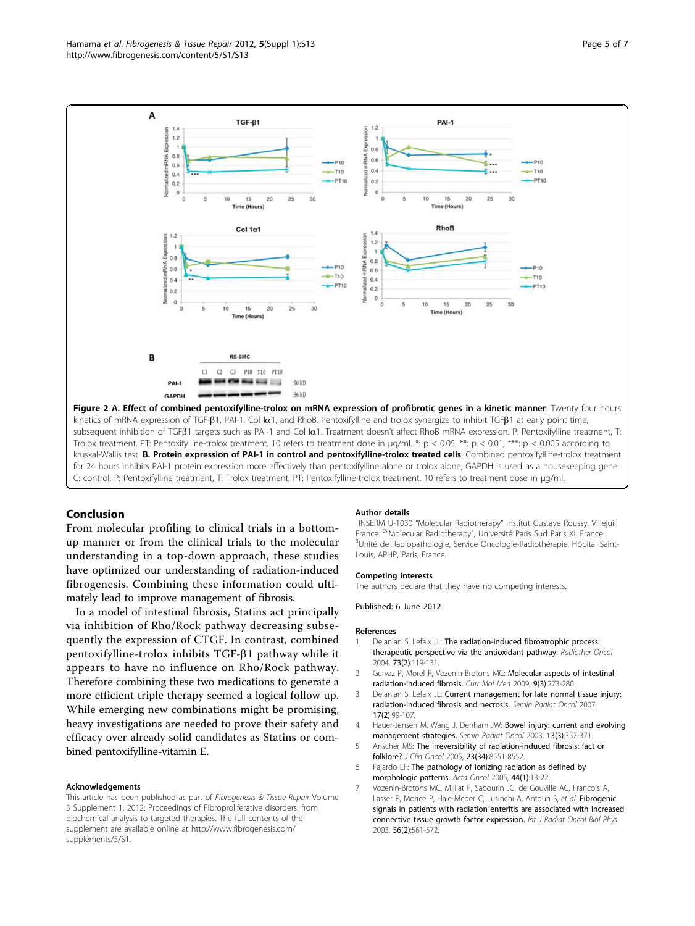<span id="page-4-0"></span>

kruskal-Wallis test. B. Protein expression of PAI-1 in control and pentoxifylline-trolox treated cells: Combined pentoxifylline-trolox treatment for 24 hours inhibits PAI-1 protein expression more effectively than pentoxifylline alone or trolox alone; GAPDH is used as a housekeeping gene. C: control, P: Pentoxifylline treatment, T: Trolox treatment, PT: Pentoxifylline-trolox treatment. 10 refers to treatment dose in μg/ml.

#### Conclusion

From molecular profiling to clinical trials in a bottomup manner or from the clinical trials to the molecular understanding in a top-down approach, these studies have optimized our understanding of radiation-induced fibrogenesis. Combining these information could ultimately lead to improve management of fibrosis.

In a model of intestinal fibrosis, Statins act principally via inhibition of Rho/Rock pathway decreasing subsequently the expression of CTGF. In contrast, combined pentoxifylline-trolox inhibits  $TGF- $\beta$ 1 pathway while it$ appears to have no influence on Rho/Rock pathway. Therefore combining these two medications to generate a more efficient triple therapy seemed a logical follow up. While emerging new combinations might be promising, heavy investigations are needed to prove their safety and efficacy over already solid candidates as Statins or combined pentoxifylline-vitamin E.

#### Acknowledgements

This article has been published as part of Fibrogenesis & Tissue Repair Volume 5 Supplement 1, 2012: Proceedings of Fibroproliferative disorders: from biochemical analysis to targeted therapies. The full contents of the supplement are available online at [http://www.fibrogenesis.com/](http://www.fibrogenesis.com/supplements/5/S1) [supplements/5/S1.](http://www.fibrogenesis.com/supplements/5/S1)

#### Author details

<sup>1</sup>INSERM U-1030 "Molecular Radiotherapy" Institut Gustave Roussy, Villejuif France. <sup>2</sup> "Molecular Radiotherapy", Université Paris Sud Paris XI, France<br><sup>3</sup> Inité de Padiopathologie. Sensice Opselogie Padiothérapie. Hênital S <sup>3</sup>Unité de Radiopathologie, Service Oncologie-Radiothérapie, Hôpital Saint-Louis, APHP, Paris, France.

#### Competing interests

The authors declare that they have no competing interests.

Published: 6 June 2012

#### References

- Delanian S, Lefaix JL: The radiation-induced fibroatrophic process: therapeutic perspective via the antioxidant pathway. Radiother Oncol 2004, 73(2):119-131.
- Gervaz P, Morel P, Vozenin-Brotons MC: Molecular aspects of intestinal radiation-induced fibrosis. Curr Mol Med 2009, 9(3):273-280.
- 3. Delanian S, Lefaix JL: Current management for late normal tissue injury: radiation-induced fibrosis and necrosis. Semin Radiat Oncol 2007, 17(2):99-107.
- 4. Hauer-Jensen M, Wang J, Denham JW: Bowel injury: current and evolving management strategies. Semin Radiat Oncol 2003, 13(3):357-371.
- 5. Anscher MS: The irreversibility of radiation-induced fibrosis: fact or folklore? J Clin Oncol 2005, 23(34):8551-8552.
- 6. Fajardo LF: The pathology of ionizing radiation as defined by morphologic patterns. Acta Oncol 2005, 44(1):13-22.
- 7. Vozenin-Brotons MC, Milliat F, Sabourin JC, de Gouville AC, Francois A, Lasser P, Morice P, Haie-Meder C, Lusinchi A, Antoun S, et al: Fibrogenic signals in patients with radiation enteritis are associated with increased connective tissue growth factor expression. Int J Radiat Oncol Biol Phys 2003, 56(2):561-572.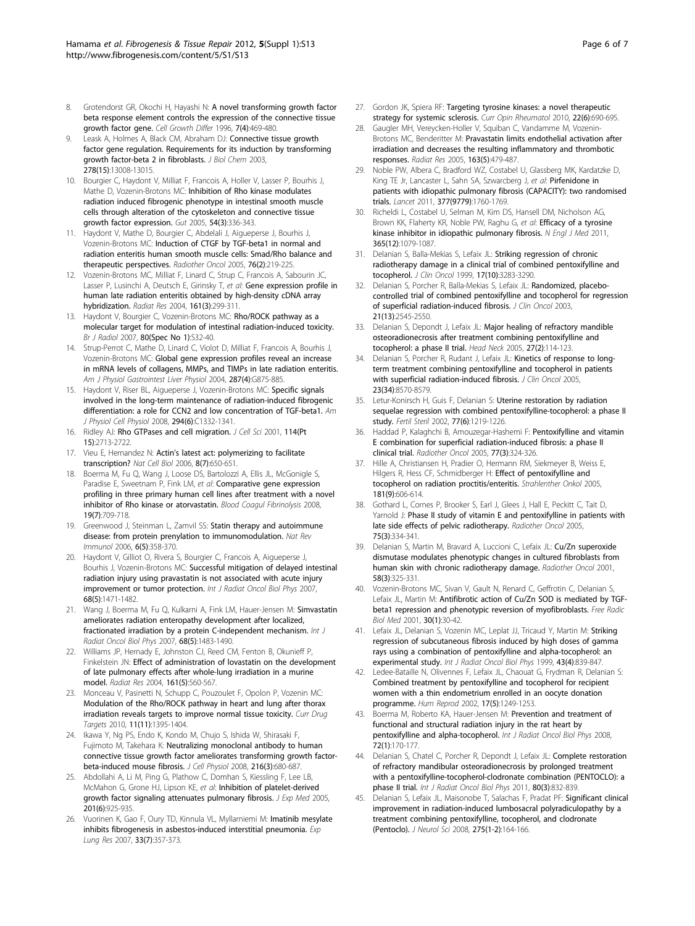- <span id="page-5-0"></span>8. Grotendorst GR, Okochi H, Hayashi N: A novel transforming growth factor beta response element controls the expression of the connective tissue growth factor gene. Cell Growth Differ 1996, 7(4):469-480.
- Leask A, Holmes A, Black CM, Abraham DJ: Connective tissue growth factor gene regulation. Requirements for its induction by transforming growth factor-beta 2 in fibroblasts. J Biol Chem 2003, 278(15):13008-13015.
- 10. Bourgier C, Haydont V, Milliat F, Francois A, Holler V, Lasser P, Bourhis J, Mathe D, Vozenin-Brotons MC: Inhibition of Rho kinase modulates radiation induced fibrogenic phenotype in intestinal smooth muscle cells through alteration of the cytoskeleton and connective tissue growth factor expression. Gut 2005, 54(3):336-343.
- 11. Haydont V, Mathe D, Bourgier C, Abdelali J, Aigueperse J, Bourhis J, Vozenin-Brotons MC: Induction of CTGF by TGF-beta1 in normal and radiation enteritis human smooth muscle cells: Smad/Rho balance and therapeutic perspectives. Radiother Oncol 2005, 76(2):219-225.
- 12. Vozenin-Brotons MC, Milliat F, Linard C, Strup C, Francois A, Sabourin JC, Lasser P, Lusinchi A, Deutsch E, Girinsky T, et al: Gene expression profile in human late radiation enteritis obtained by high-density cDNA array hybridization. Radiat Res 2004, 161(3):299-311.
- 13. Haydont V, Bourgier C, Vozenin-Brotons MC: Rho/ROCK pathway as a molecular target for modulation of intestinal radiation-induced toxicity. Br J Radiol 2007, 80(Spec No 1):S32-40.
- 14. Strup-Perrot C, Mathe D, Linard C, Violot D, Milliat F, Francois A, Bourhis J, Vozenin-Brotons MC: Global gene expression profiles reveal an increase in mRNA levels of collagens, MMPs, and TIMPs in late radiation enteritis. Am J Physiol Gastrointest Liver Physiol 2004, 287(4):G875-885.
- 15. Haydont V, Riser BL, Aigueperse J, Vozenin-Brotons MC: Specific signals involved in the long-term maintenance of radiation-induced fibrogenic differentiation: a role for CCN2 and low concentration of TGF-beta1. Am J Physiol Cell Physiol 2008, 294(6):C1332-1341.
- 16. Ridley AJ: Rho GTPases and cell migration. J Cell Sci 2001, 114(Pt 15):2713-2722.
- 17. Vieu E, Hernandez N: Actin's latest act: polymerizing to facilitate transcription? Nat Cell Biol 2006, 8(7):650-651.
- 18. Boerma M, Fu Q, Wang J, Loose DS, Bartolozzi A, Ellis JL, McGonigle S, Paradise E, Sweetnam P, Fink LM, et al: Comparative gene expression profiling in three primary human cell lines after treatment with a novel inhibitor of Rho kinase or atorvastatin. Blood Coagul Fibrinolysis 2008, 19(7):709-718.
- 19. Greenwood J, Steinman L, Zamvil SS: Statin therapy and autoimmune disease: from protein prenylation to immunomodulation. Nat Rev Immunol 2006, 6(5):358-370.
- 20. Haydont V, Gilliot O, Rivera S, Bourgier C, Francois A, Aigueperse J, Bourhis J, Vozenin-Brotons MC: Successful mitigation of delayed intestinal radiation injury using pravastatin is not associated with acute injury improvement or tumor protection. Int J Radiat Oncol Biol Phys 2007, 68(5):1471-1482.
- 21. Wang J, Boerma M, Fu Q, Kulkarni A, Fink LM, Hauer-Jensen M: Simvastatin ameliorates radiation enteropathy development after localized, fractionated irradiation by a protein C-independent mechanism. Int J Radiat Oncol Biol Phys 2007, 68(5):1483-1490.
- 22. Williams JP, Hernady E, Johnston CJ, Reed CM, Fenton B, Okunieff P, Finkelstein JN: Effect of administration of lovastatin on the development of late pulmonary effects after whole-lung irradiation in a murine model. Radiat Res 2004, 161(5):560-567.
- 23. Monceau V, Pasinetti N, Schupp C, Pouzoulet F, Opolon P, Vozenin MC: Modulation of the Rho/ROCK pathway in heart and lung after thorax irradiation reveals targets to improve normal tissue toxicity. Curr Drug Targets 2010, 11(11):1395-1404.
- 24. Ikawa Y, Ng PS, Endo K, Kondo M, Chujo S, Ishida W, Shirasaki F, Fujimoto M, Takehara K: Neutralizing monoclonal antibody to human connective tissue growth factor ameliorates transforming growth factorbeta-induced mouse fibrosis. J Cell Physiol 2008, 216(3):680-687.
- 25. Abdollahi A, Li M, Ping G, Plathow C, Domhan S, Kiessling F, Lee LB, McMahon G, Grone HJ, Lipson KE, et al: Inhibition of platelet-derived growth factor signaling attenuates pulmonary fibrosis. J Exp Med 2005, 201(6):925-935.
- 26. Vuorinen K, Gao F, Oury TD, Kinnula VL, Myllarniemi M: Imatinib mesylate inhibits fibrogenesis in asbestos-induced interstitial pneumonia. Exp Lung Res 2007, 33(7):357-373.
- 27. Gordon JK, Spiera RF: Targeting tyrosine kinases: a novel therapeutic strategy for systemic sclerosis. Curr Opin Rheumatol 2010, 22(6):690-695.
- 28. Gaugler MH, Vereycken-Holler V, Squiban C, Vandamme M, Vozenin-Brotons MC, Benderitter M: Pravastatin limits endothelial activation after irradiation and decreases the resulting inflammatory and thrombotic responses. Radiat Res 2005, 163(5):479-487.
- 29. Noble PW, Albera C, Bradford WZ, Costabel U, Glassberg MK, Kardatzke D, King TE Jr, Lancaster L, Sahn SA, Szwarcberg J, et al: Pirfenidone in patients with idiopathic pulmonary fibrosis (CAPACITY): two randomised trials. Lancet 2011, 377(9779):1760-1769.
- 30. Richeldi L, Costabel U, Selman M, Kim DS, Hansell DM, Nicholson AG, Brown KK, Flaherty KR, Noble PW, Raghu G, et al: Efficacy of a tyrosine kinase inhibitor in idiopathic pulmonary fibrosis. N Engl J Med 2011, 365(12):1079-1087.
- 31. Delanian S, Balla-Mekias S, Lefaix JL: Striking regression of chronic radiotherapy damage in a clinical trial of combined pentoxifylline and tocopherol. J Clin Oncol 1999, 17(10):3283-3290.
- 32. Delanian S, Porcher R, Balla-Mekias S, Lefaix JL: Randomized, placebocontrolled trial of combined pentoxifylline and tocopherol for regression of superficial radiation-induced fibrosis. J Clin Oncol 2003, 21(13):2545-2550.
- 33. Delanian S, Depondt J, Lefaix JL: Major healing of refractory mandible osteoradionecrosis after treatment combining pentoxifylline and tocopherol: a phase II trial. Head Neck 2005, 27(2):114-123.
- 34. Delanian S, Porcher R, Rudant J, Lefaix JL: Kinetics of response to longterm treatment combining pentoxifylline and tocopherol in patients with superficial radiation-induced fibrosis. J Clin Oncol 2005, 23(34):8570-8579.
- 35. Letur-Konirsch H, Guis F, Delanian S: Uterine restoration by radiation sequelae regression with combined pentoxifylline-tocopherol: a phase II study. Fertil Steril 2002, 77(6):1219-1226.
- Haddad P, Kalaghchi B, Amouzegar-Hashemi F: Pentoxifylline and vitamin E combination for superficial radiation-induced fibrosis: a phase II clinical trial. Radiother Oncol 2005, 77(3):324-326.
- 37. Hille A, Christiansen H, Pradier O, Hermann RM, Siekmeyer B, Weiss E, Hilgers R, Hess CF, Schmidberger H: Effect of pentoxifylline and tocopherol on radiation proctitis/enteritis. Strahlenther Onkol 2005, 181(9):606-614.
- 38. Gothard L, Cornes P, Brooker S, Earl J, Glees J, Hall E, Peckitt C, Tait D, Yarnold J: Phase II study of vitamin E and pentoxifylline in patients with late side effects of pelvic radiotherapy. Radiother Oncol 2005, 75(3):334-341.
- 39. Delanian S, Martin M, Bravard A, Luccioni C, Lefaix JL: Cu/Zn superoxide dismutase modulates phenotypic changes in cultured fibroblasts from human skin with chronic radiotherapy damage. Radiother Oncol 2001, 58(3):325-331.
- 40. Vozenin-Brotons MC, Sivan V, Gault N, Renard C, Geffrotin C, Delanian S, Lefaix JL, Martin M: Antifibrotic action of Cu/Zn SOD is mediated by TGFbeta1 repression and phenotypic reversion of myofibroblasts. Free Radic Biol Med 2001, 30(1):30-42.
- 41. Lefaix JL, Delanian S, Vozenin MC, Leplat JJ, Tricaud Y, Martin M: Striking regression of subcutaneous fibrosis induced by high doses of gamma rays using a combination of pentoxifylline and alpha-tocopherol: an experimental study. Int J Radiat Oncol Biol Phys 1999, 43(4):839-847.
- 42. Ledee-Bataille N, Olivennes F, Lefaix JL, Chaouat G, Frydman R, Delanian S: Combined treatment by pentoxifylline and tocopherol for recipient women with a thin endometrium enrolled in an oocyte donation programme. Hum Reprod 2002, 17(5):1249-1253.
- 43. Boerma M, Roberto KA, Hauer-Jensen M: Prevention and treatment of functional and structural radiation injury in the rat heart by pentoxifylline and alpha-tocopherol. Int J Radiat Oncol Biol Phys 2008, 72(1):170-177.
- 44. Delanian S, Chatel C, Porcher R, Depondt J, Lefaix JL: Complete restoration of refractory mandibular osteoradionecrosis by prolonged treatment with a pentoxifylline-tocopherol-clodronate combination (PENTOCLO): a phase II trial. Int J Radiat Oncol Biol Phys 2011, 80(3):832-839.
- 45. Delanian S, Lefaix JL, Maisonobe T, Salachas F, Pradat PF: Significant clinical improvement in radiation-induced lumbosacral polyradiculopathy by a treatment combining pentoxifylline, tocopherol, and clodronate (Pentoclo). J Neurol Sci 2008, 275(1-2):164-166.